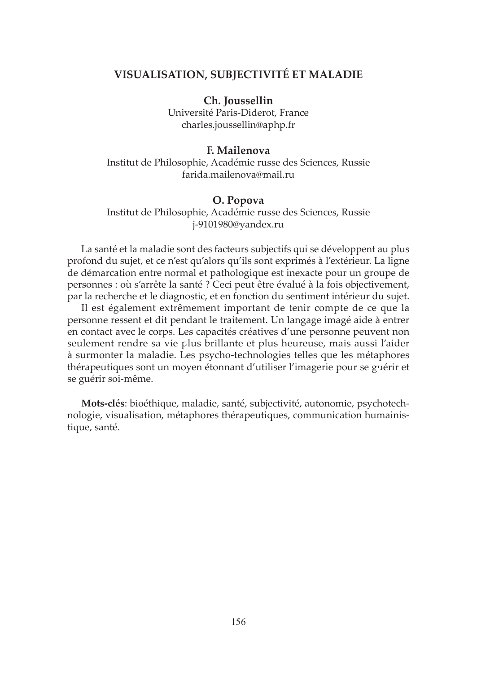# **VISUALISATION, SUBJECTIVITÉ ET MALADIE**

**Ch. Joussellin**

Université Paris-Diderot, France charles.joussellin@aphp.fr

#### **F. Mailenova**

Institut de Philosophie, Académie russe des Sciences, Russie farida.mailenova@mail.ru

#### **O. Popova**

Institut de Philosophie, Académie russe des Sciences, Russie j-9101980@yandex.ru

La santé et la maladie sont des facteurs subjectifs qui se développent au plus profond du sujet, et ce n'est qu'alors qu'ils sont exprimés à l'extérieur. La ligne de démarcation entre normal et pathologique est inexacte pour un groupe de personnes : où s'arrête la santé ? Ceci peut être évalué à la fois objectivement, par la recherche et le diagnostic, et en fonction du sentiment intérieur du sujet.

Il est également extrêmement important de tenir compte de ce que la personne ressent et dit pendant le traitement. Un langage imagé aide à entrer en contact avec le corps. Les capacités créatives d'une personne peuvent non seulement rendre sa vie plus brillante et plus heureuse, mais aussi l'aider à surmonter la maladie. Les psycho-technologies telles que les métaphores thérapeutiques sont un moyen étonnant d'utiliser l'imagerie pour se guérir et se guérir soi-même.

**Mots-clés**: bioéthique, maladie, santé, subjectivité, autonomie, psychotechnologie, visualisation, métaphores thérapeutiques, communication humainistique, santé.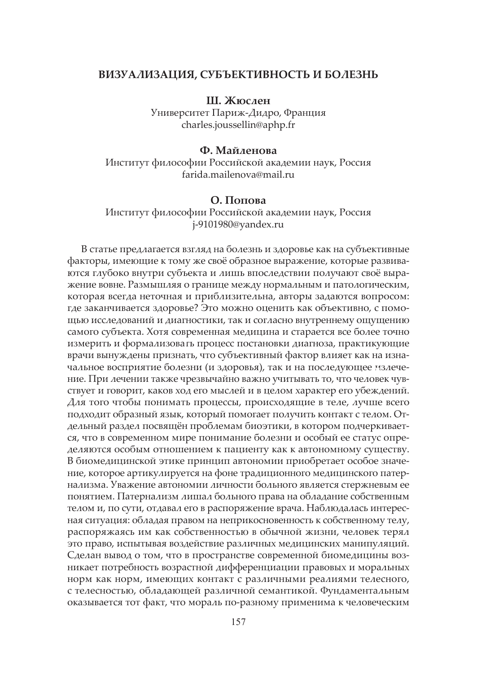#### **ВИЗУАЛИЗАЦИЯ, СУБЪЕКТИВНОСТЬ И БОЛЕЗНЬ**

**Ш. Жюслен**

Университет Париж-Дидро, Франция charles.joussellin@aphp.fr

#### **Ф. Майленова**

Институт философии Российской академии наук, Россия farida.mailenova@mail.ru

### **О. Попова**

Институт философии Российской академии наук, Россия j-9101980@yandex.ru

В статье предлагается взгляд на болезнь и здоровье как на субъективные факторы, имеющие к тому же своё образное выражение, которые развиваются глубоко внутри субъекта и лишь впоследствии получают своё выражение вовне. Размышляя о границе между нормальным и патологическим, которая всегда неточная и приблизительна, авторы задаются вопросом: где заканчивается здоровье? Это можно оценить как объективно, с помощью исследований и диагностики, так и согласно внутреннему ощущению самого субъекта. Хотя современная медицина и старается все более точно измерить и формализовать процесс постановки диагноза, практикующие врачи вынуждены признать, что субъективный фактор влияет как на изначальное восприятие болезни (и здоровья), так и на последующее излечение. При лечении также чрезвычайно важно учитывать то, что человек чувствует и говорит, каков ход его мыслей и в целом характер его убеждений. Для того чтобы понимать процессы, происходящие в теле, лучше всего подходит образный язык, который помогает получить контакт с телом. Отдельный раздел посвящён проблемам биоэтики, в котором подчеркивается, что в современном мире понимание болезни и особый ее статус определяются особым отношением к пациенту как к автономному существу. В биомедицинской этике принцип автономии приобретает особое значение, которое артикулируется на фоне традиционного медицинского патернализма. Уважение автономии личности больного является стержневым ее понятием. Патернализм лишал больного права на обладание собственным телом и, по сути, отдавал его в распоряжение врача. Наблюдалась интересная ситуация: обладая правом на неприкосновенность к собственному телу, распоряжаясь им как собственностью в обычной жизни, человек терял это право, испытывая воздействие различных медицинских манипуляций. Сделан вывод о том, что в пространстве современной биомедицины возникает потребность возрастной дифференциации правовых и моральных норм как норм, имеющих контакт с различными реалиями телесного, с телесностью, обладающей различной семантикой. Фундаментальным оказывается тот факт, что мораль по-разному применима к человеческим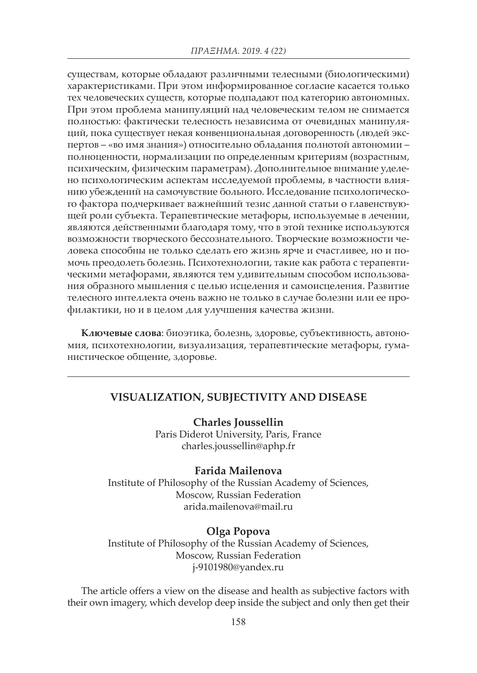существам, которые обладают различными телесными (биологическими) характеристиками. При этом информированное согласие касается только тех человеческих существ, которые подпадают под категорию автономных. При этом проблема манипуляций над человеческим телом не снимается полностью: фактически телесность независима от очевидных манипуляций, пока существует некая конвенциональная договоренность (людей экспертов – «во имя знания») относительно обладания полнотой автономии – полноценности, нормализации по определенным критериям (возрастным, психическим, физическим параметрам). Дополнительное внимание уделено психологическим аспектам исследуемой проблемы, в частности влиянию убеждений на самочувствие больного. Исследование психологического фактора подчеркивает важнейший тезис данной статьи о главенствующей роли субъекта. Терапевтические метафоры, используемые в лечении, являются действенными благодаря тому, что в этой технике используются возможности творческого бессознательного. Творческие возможности человека способны не только сделать его жизнь ярче и счастливее, но и помочь преодолеть болезнь. Психотехнологии, такие как работа с терапевтическими метафорами, являются тем удивительным способом использования образного мышления с целью исцеления и самоисцеления. Развитие телесного интеллекта очень важно не только в случае болезни или ее профилактики, но и в целом для улучшения качества жизни.

**Ключевые слова**: биоэтика, болезнь, здоровье, субъективность, автономия, психотехнологии, визуализация, терапевтические метафоры, гуманистическое общение, здоровье.

# **VISUALIZATION, SUBJECTIVITY AND DISEASE**

**Charles Joussellin** Paris Diderot University, Paris, France charles.joussellin@aphp.fr

### **Farida Mailenova**

Institute of Philosophy of the Russian Academy of Sciences, Moscow, Russian Federation arida.mailenova@mail.ru

#### **Olga Popova**

Institute of Philosophy of the Russian Academy of Sciences, Moscow, Russian Federation j-9101980@yandex.ru

The article offers a view on the disease and health as subjective factors with their own imagery, which develop deep inside the subject and only then get their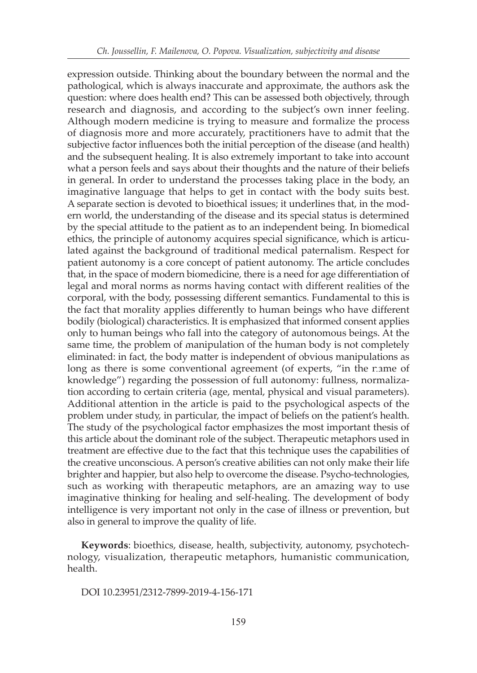expression outside. Thinking about the boundary between the normal and the pathological, which is always inaccurate and approximate, the authors ask the question: where does health end? This can be assessed both objectively, through research and diagnosis, and according to the subject's own inner feeling. Although modern medicine is trying to measure and formalize the process of diagnosis more and more accurately, practitioners have to admit that the subjective factor influences both the initial perception of the disease (and health) and the subsequent healing. It is also extremely important to take into account what a person feels and says about their thoughts and the nature of their beliefs in general. In order to understand the processes taking place in the body, an imaginative language that helps to get in contact with the body suits best. A separate section is devoted to bioethical issues; it underlines that, in the modern world, the understanding of the disease and its special status is determined by the special attitude to the patient as to an independent being. In biomedical ethics, the principle of autonomy acquires special significance, which is articulated against the background of traditional medical paternalism. Respect for patient autonomy is a core concept of patient autonomy. The article concludes that, in the space of modern biomedicine, there is a need for age differentiation of legal and moral norms as norms having contact with different realities of the corporal, with the body, possessing different semantics. Fundamental to this is the fact that morality applies differently to human beings who have different bodily (biological) characteristics. It is emphasized that informed consent applies only to human beings who fall into the category of autonomous beings. At the same time, the problem of manipulation of the human body is not completely eliminated: in fact, the body matter is independent of obvious manipulations as long as there is some conventional agreement (of experts, "in the name of knowledge") regarding the possession of full autonomy: fullness, normalization according to certain criteria (age, mental, physical and visual parameters). Additional attention in the article is paid to the psychological aspects of the problem under study, in particular, the impact of beliefs on the patient's health. The study of the psychological factor emphasizes the most important thesis of this article about the dominant role of the subject. Therapeutic metaphors used in treatment are effective due to the fact that this technique uses the capabilities of the creative unconscious. A person's creative abilities can not only make their life brighter and happier, but also help to overcome the disease. Psycho-technologies, such as working with therapeutic metaphors, are an amazing way to use imaginative thinking for healing and self-healing. The development of body intelligence is very important not only in the case of illness or prevention, but also in general to improve the quality of life.

**Keywords**: bioethics, disease, health, subjectivity, autonomy, psychotechnology, visualization, therapeutic metaphors, humanistic communication, health.

DOI 10.23951/2312-7899-2019-4-156-171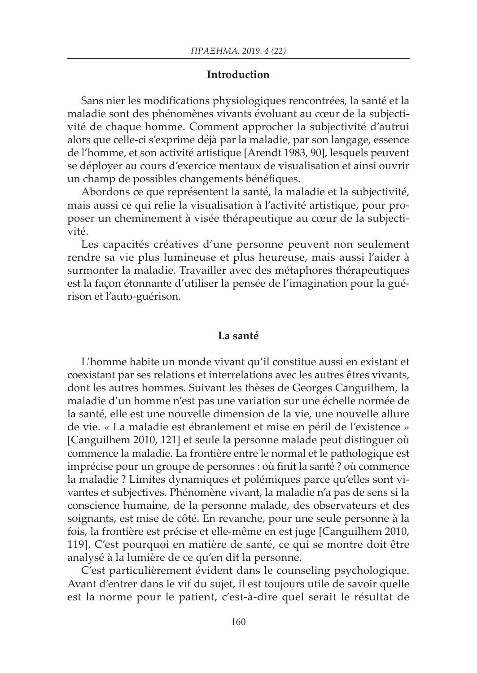#### **Introduction**

Sans nier les modifications physiologiques rencontrées, la santé et la maladie sont des phénomènes vivants évoluant au cœur de la subjectivité de chaque homme. Comment approcher la subjectivité d'autrui alors que celle-ci s'exprime déjà par la maladie, par son langage, essence de l'homme, et son activité artistique [Arendt 1983, 90], lesquels peuvent se déployer au cours d'exercice mentaux de visualisation et ainsi ouvrir un champ de possibles changements bénéfiques.

Abordons ce que représentent la santé, la maladie et la subjectivité, mais aussi ce qui relie la visualisation à l'activité artistique, pour proposer un cheminement à visée thérapeutique au cœur de la subjectivité.

Les capacités créatives d'une personne peuvent non seulement rendre sa vie plus lumineuse et plus heureuse, mais aussi l'aider à surmonter la maladie. Travailler avec des métaphores thérapeutiques est la façon étonnante d'utiliser la pensée de l'imagination pour la guérison et l'auto-guérison.

### **La santé**

L'homme habite un monde vivant qu'il constitue aussi en existant et coexistant par ses relations et interrelations avec les autres êtres vivants, dont les autres hommes. Suivant les thèses de Georges Canguilhem, la maladie d'un homme n'est pas une variation sur une échelle normée de la santé, elle est une nouvelle dimension de la vie, une nouvelle allure de vie. « La maladie est ébranlement et mise en péril de l'existence » [Canguilhem 2010, 121] et seule la personne malade peut distinguer où commence la maladie. La frontière entre le normal et le pathologique est imprécise pour un groupe de personnes : où finit la santé ? où commence la maladie ? Limites dynamiques et polémiques parce qu'elles sont vivantes et subjectives. Phénomène vivant, la maladie n'a pas de sens si la conscience humaine, de la personne malade, des observateurs et des soignants, est mise de côté. En revanche, pour une seule personne à la fois, la frontière est précise et elle-même en est juge [Canguilhem 2010, 119]. C'est pourquoi en matière de santé, ce qui se montre doit être analysé à la lumière de ce qu'en dit la personne.

C'est particulièrement évident dans le counseling psychologique. Avant d'entrer dans le vif du sujet, il est toujours utile de savoir quelle est la norme pour le patient, c'est-à-dire quel serait le résultat de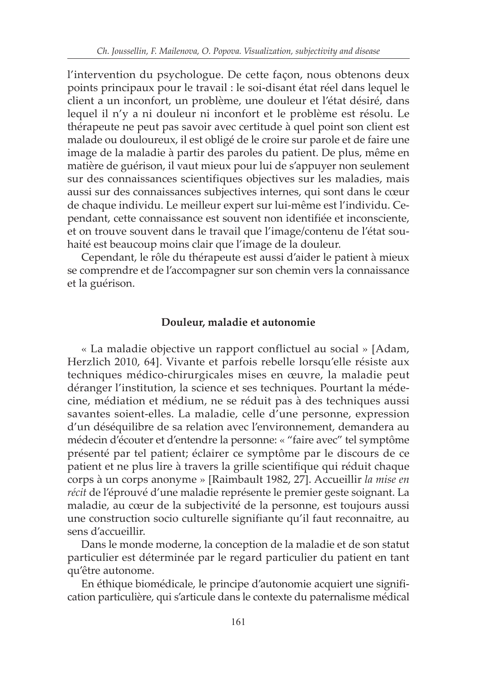l'intervention du psychologue. De cette façon, nous obtenons deux points principaux pour le travail : le soi-disant état réel dans lequel le client a un inconfort, un problème, une douleur et l'état désiré, dans lequel il n'y a ni douleur ni inconfort et le problème est résolu. Le thérapeute ne peut pas savoir avec certitude à quel point son client est malade ou douloureux, il est obligé de le croire sur parole et de faire une image de la maladie à partir des paroles du patient. De plus, même en matière de guérison, il vaut mieux pour lui de s'appuyer non seulement sur des connaissances scientifiques objectives sur les maladies, mais aussi sur des connaissances subjectives internes, qui sont dans le cœur de chaque individu. Le meilleur expert sur lui-même est l'individu. Cependant, cette connaissance est souvent non identifiée et inconsciente, et on trouve souvent dans le travail que l'image/contenu de l'état souhaité est beaucoup moins clair que l'image de la douleur.

Cependant, le rôle du thérapeute est aussi d'aider le patient à mieux se comprendre et de l'accompagner sur son chemin vers la connaissance et la guérison.

### **Douleur, maladie et autonomie**

« La maladie objective un rapport conflictuel au social » [Adam, Herzlich 2010, 64]. Vivante et parfois rebelle lorsqu'elle résiste aux techniques médico-chirurgicales mises en œuvre, la maladie peut déranger l'institution, la science et ses techniques. Pourtant la médecine, médiation et médium, ne se réduit pas à des techniques aussi savantes soient-elles. La maladie, celle d'une personne, expression d'un déséquilibre de sa relation avec l'environnement, demandera au médecin d'écouter et d'entendre la personne: « "faire avec" tel symptôme présenté par tel patient; éclairer ce symptôme par le discours de ce patient et ne plus lire à travers la grille scientifique qui réduit chaque corps à un corps anonyme » [Raimbault 1982, 27]. Accueillir *la mise en*  récit de l'éprouvé d'une maladie représente le premier geste soignant. La maladie, au cœur de la subjectivité de la personne, est toujours aussi une construction socio culturelle signifiante qu'il faut reconnaitre, au sens d'accueillir.

Dans le monde moderne, la conception de la maladie et de son statut particulier est déterminée par le regard particulier du patient en tant qu'être autonome.

En éthique biomédicale, le principe d'autonomie acquiert une signification particulière, qui s'articule dans le contexte du paternalisme médical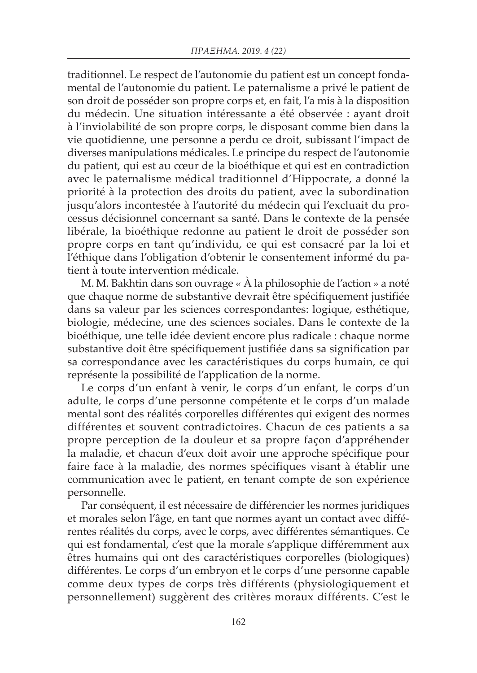traditionnel. Le respect de l'autonomie du patient est un concept fondamental de l'autonomie du patient. Le paternalisme a privé le patient de son droit de posséder son propre corps et, en fait, l'a mis à la disposition du médecin. Une situation intéressante a été observée : ayant droit à l'inviolabilité de son propre corps, le disposant comme bien dans la vie quotidienne, une personne a perdu ce droit, subissant l'impact de diverses manipulations médicales. Le principe du respect de l'autonomie du patient, qui est au cœur de la bioéthique et qui est en contradiction avec le paternalisme médical traditionnel d'Hippocrate, a donné la priorité à la protection des droits du patient, avec la subordination jusqu'alors incontestée à l'autorité du médecin qui l'excluait du processus décisionnel concernant sa santé. Dans le contexte de la pensée libérale, la bioéthique redonne au patient le droit de posséder son propre corps en tant qu'individu, ce qui est consacré par la loi et l'éthique dans l'obligation d'obtenir le consentement informé du patient à toute intervention médicale.

M. M. Bakhtin dans son ouvrage « À la philosophie de l'action » a noté que chaque norme de substantive devrait être spécifiquement justifiée dans sa valeur par les sciences correspondantes: logique, esthétique, biologie, médecine, une des sciences sociales. Dans le contexte de la bioéthique, une telle idée devient encore plus radicale : chaque norme substantive doit être spécifiquement justifiée dans sa signification par sa correspondance avec les caractéristiques du corps humain, ce qui représente la possibilité de l'application de la norme.

Le corps d'un enfant à venir, le corps d'un enfant, le corps d'un adulte, le corps d'une personne compétente et le corps d'un malade mental sont des réalités corporelles différentes qui exigent des normes différentes et souvent contradictoires. Chacun de ces patients a sa propre perception de la douleur et sa propre façon d'appréhender la maladie, et chacun d'eux doit avoir une approche spécifique pour faire face à la maladie, des normes spécifiques visant à établir une communication avec le patient, en tenant compte de son expérience personnelle.

Par conséquent, il est nécessaire de différencier les normes juridiques et morales selon l'âge, en tant que normes ayant un contact avec différentes réalités du corps, avec le corps, avec différentes sémantiques. Ce qui est fondamental, c'est que la morale s'applique différemment aux êtres humains qui ont des caractéristiques corporelles (biologiques) différentes. Le corps d'un embryon et le corps d'une personne capable comme deux types de corps très différents (physiologiquement et personnellement) suggèrent des critères moraux différents. C'est le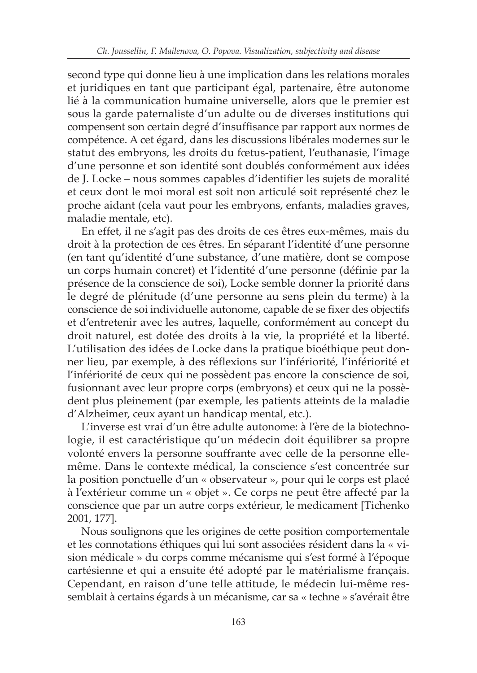second type qui donne lieu à une implication dans les relations morales et juridiques en tant que participant égal, partenaire, être autonome lié à la communication humaine universelle, alors que le premier est sous la garde paternaliste d'un adulte ou de diverses institutions qui compensent son certain degré d'insuffisance par rapport aux normes de compétence. A cet égard, dans les discussions libérales modernes sur le statut des embryons, les droits du fœtus-patient, l'euthanasie, l'image d'une personne et son identité sont doublés conformément aux idées de J. Locke – nous sommes capables d'identifier les sujets de moralité et ceux dont le moi moral est soit non articulé soit représenté chez le proche aidant (cela vaut pour les embryons, enfants, maladies graves, maladie mentale, etc).

En effet, il ne s'agit pas des droits de ces êtres eux-mêmes, mais du droit à la protection de ces êtres. En séparant l'identité d'une personne (en tant qu'identité d'une substance, d'une matière, dont se compose un corps humain concret) et l'identité d'une personne (définie par la présence de la conscience de soi), Locke semble donner la priorité dans le degré de plénitude (d'une personne au sens plein du terme) à la conscience de soi individuelle autonome, capable de se fixer des objectifs et d'entretenir avec les autres, laquelle, conformément au concept du droit naturel, est dotée des droits à la vie, la propriété et la liberté. L'utilisation des idées de Locke dans la pratique bioéthique peut donner lieu, par exemple, à des réflexions sur l'infériorité, l'infériorité et l'infériorité de ceux qui ne possèdent pas encore la conscience de soi, fusionnant avec leur propre corps (embryons) et ceux qui ne la possèdent plus pleinement (par exemple, les patients atteints de la maladie d'Alzheimer, ceux ayant un handicap mental, etc.).

L'inverse est vrai d'un être adulte autonome: à l'ère de la biotechnologie, il est caractéristique qu'un médecin doit équilibrer sa propre volonté envers la personne souffrante avec celle de la personne ellemême. Dans le contexte médical, la conscience s'est concentrée sur la position ponctuelle d'un « observateur », pour qui le corps est placé à l'extérieur comme un « objet ». Ce corps ne peut être affecté par la conscience que par un autre corps extérieur, le medicament [Tichenko 2001, 177].

Nous soulignons que les origines de cette position comportementale et les connotations éthiques qui lui sont associées résident dans la « vision médicale » du corps comme mécanisme qui s'est formé à l'époque cartésienne et qui a ensuite été adopté par le matérialisme français. Cependant, en raison d'une telle attitude, le médecin lui-même ressemblait à certains égards à un mécanisme, car sa « techne » s'avérait être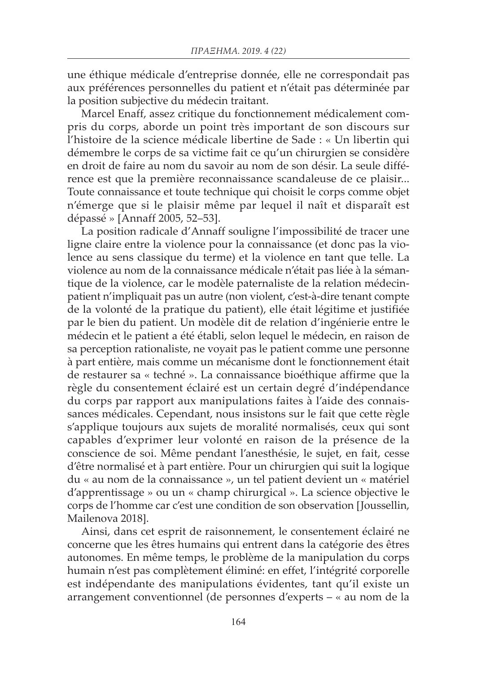une éthique médicale d'entreprise donnée, elle ne correspondait pas aux préférences personnelles du patient et n'était pas déterminée par la position subjective du médecin traitant.

Marcel Enaff, assez critique du fonctionnement médicalement compris du corps, aborde un point très important de son discours sur l'histoire de la science médicale libertine de Sade : « Un libertin qui démembre le corps de sa victime fait ce qu'un chirurgien se considère en droit de faire au nom du savoir au nom de son désir. La seule différence est que la première reconnaissance scandaleuse de ce plaisir... Toute connaissance et toute technique qui choisit le corps comme objet n'émerge que si le plaisir même par lequel il naît et disparaît est dépassé » [Annaff 2005, 52–53].

La position radicale d'Annaff souligne l'impossibilité de tracer une ligne claire entre la violence pour la connaissance (et donc pas la violence au sens classique du terme) et la violence en tant que telle. La violence au nom de la connaissance médicale n'était pas liée à la sémantique de la violence, car le modèle paternaliste de la relation médecinpatient n'impliquait pas un autre (non violent, c'est-à-dire tenant compte de la volonté de la pratique du patient), elle était légitime et justifiée par le bien du patient. Un modèle dit de relation d'ingénierie entre le médecin et le patient a été établi, selon lequel le médecin, en raison de sa perception rationaliste, ne voyait pas le patient comme une personne à part entière, mais comme un mécanisme dont le fonctionnement était de restaurer sa « techné ». La connaissance bioéthique affirme que la règle du consentement éclairé est un certain degré d'indépendance du corps par rapport aux manipulations faites à l'aide des connaissances médicales. Cependant, nous insistons sur le fait que cette règle s'applique toujours aux sujets de moralité normalisés, ceux qui sont capables d'exprimer leur volonté en raison de la présence de la conscience de soi. Même pendant l'anesthésie, le sujet, en fait, cesse d'être normalisé et à part entière. Pour un chirurgien qui suit la logique du « au nom de la connaissance », un tel patient devient un « matériel d'apprentissage » ou un « champ chirurgical ». La science objective le corps de l'homme car c'est une condition de son observation [Joussellin, Mailenova 2018].

Ainsi, dans cet esprit de raisonnement, le consentement éclairé ne concerne que les êtres humains qui entrent dans la catégorie des êtres autonomes. En même temps, le problème de la manipulation du corps humain n'est pas complètement éliminé: en effet, l'intégrité corporelle est indépendante des manipulations évidentes, tant qu'il existe un arrangement conventionnel (de personnes d'experts – « au nom de la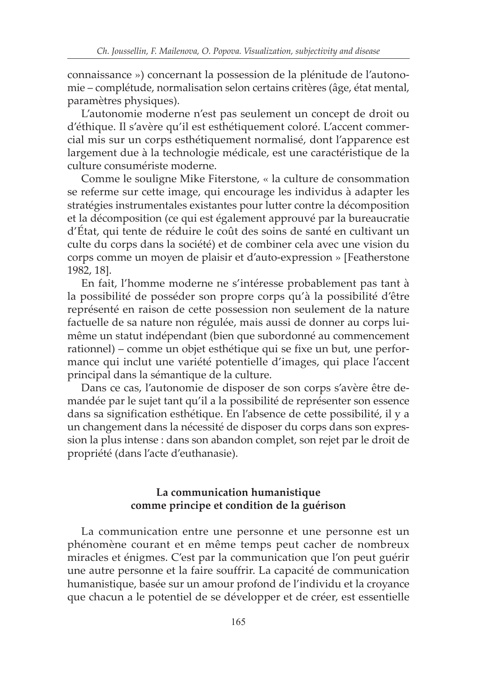connaissance ») concernant la possession de la plénitude de l'autonomie – complétude, normalisation selon certains critères (âge, état mental, paramètres physiques).

L'autonomie moderne n'est pas seulement un concept de droit ou d'éthique. Il s'avère qu'il est esthétiquement coloré. L'accent commercial mis sur un corps esthétiquement normalisé, dont l'apparence est largement due à la technologie médicale, est une caractéristique de la culture consumériste moderne.

Comme le souligne Mike Fiterstone, « la culture de consommation se referme sur cette image, qui encourage les individus à adapter les stratégies instrumentales existantes pour lutter contre la décomposition et la décomposition (ce qui est également approuvé par la bureaucratie d'État, qui tente de réduire le coût des soins de santé en cultivant un culte du corps dans la société) et de combiner cela avec une vision du corps comme un moyen de plaisir et d'auto-expression » [Featherstone 1982, 18].

En fait, l'homme moderne ne s'intéresse probablement pas tant à la possibilité de posséder son propre corps qu'à la possibilité d'être représenté en raison de cette possession non seulement de la nature factuelle de sa nature non régulée, mais aussi de donner au corps luimême un statut indépendant (bien que subordonné au commencement rationnel) – comme un objet esthétique qui se fixe un but, une performance qui inclut une variété potentielle d'images, qui place l'accent principal dans la sémantique de la culture.

Dans ce cas, l'autonomie de disposer de son corps s'avère être demandée par le sujet tant qu'il a la possibilité de représenter son essence dans sa signification esthétique. En l'absence de cette possibilité, il y a un changement dans la nécessité de disposer du corps dans son expression la plus intense : dans son abandon complet, son rejet par le droit de propriété (dans l'acte d'euthanasie).

# **La communication humanistique comme principe et condition de la guérison**

La communication entre une personne et une personne est un phénomène courant et en même temps peut cacher de nombreux miracles et énigmes. C'est par la communication que l'on peut guérir une autre personne et la faire souffrir. La capacité de communication humanistique, basée sur un amour profond de l'individu et la croyance que chacun a le potentiel de se développer et de créer, est essentielle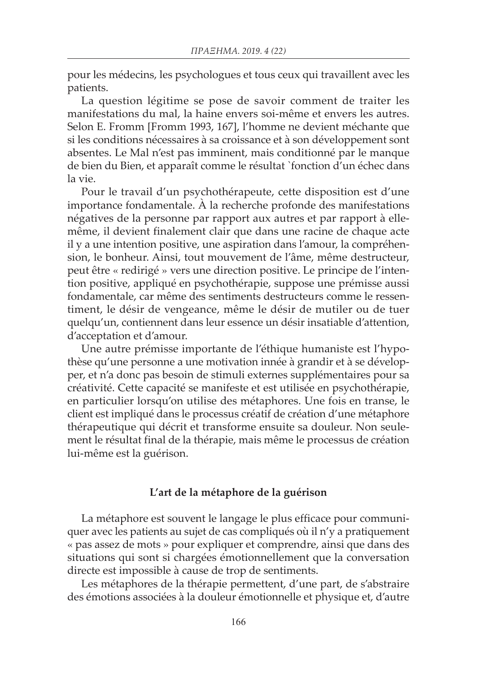pour les médecins, les psychologues et tous ceux qui travaillent avec les patients.

La question légitime se pose de savoir comment de traiter les manifestations du mal, la haine envers soi-même et envers les autres. Selon E. Fromm [Fromm 1993, 167], l'homme ne devient méchante que si les conditions nécessaires à sa croissance et à son développement sont absentes. Le Mal n'est pas imminent, mais conditionné par le manque de bien du Bien, et apparaît comme le résultat `fonction d'un échec dans la vie.

Pour le travail d'un psychothérapeute, cette disposition est d'une importance fondamentale. À la recherche profonde des manifestations négatives de la personne par rapport aux autres et par rapport à ellemême, il devient finalement clair que dans une racine de chaque acte il y a une intention positive, une aspiration dans l'amour, la compréhension, le bonheur. Ainsi, tout mouvement de l'âme, même destructeur, peut être « redirigé » vers une direction positive. Le principe de l'intention positive, appliqué en psychothérapie, suppose une prémisse aussi fondamentale, car même des sentiments destructeurs comme le ressentiment, le désir de vengeance, même le désir de mutiler ou de tuer quelqu'un, contiennent dans leur essence un désir insatiable d'attention, d'acceptation et d'amour.

Une autre prémisse importante de l'éthique humaniste est l'hypothèse qu'une personne a une motivation innée à grandir et à se développer, et n'a donc pas besoin de stimuli externes supplémentaires pour sa créativité. Cette capacité se manifeste et est utilisée en psychothérapie, en particulier lorsqu'on utilise des métaphores. Une fois en transe, le client est impliqué dans le processus créatif de création d'une métaphore thérapeutique qui décrit et transforme ensuite sa douleur. Non seulement le résultat final de la thérapie, mais même le processus de création lui-même est la guérison.

#### **L'art de la métaphore de la guérison**

La métaphore est souvent le langage le plus efficace pour communiquer avec les patients au sujet de cas compliqués où il n'y a pratiquement « pas assez de mots » pour expliquer et comprendre, ainsi que dans des situations qui sont si chargées émotionnellement que la conversation directe est impossible à cause de trop de sentiments.

Les métaphores de la thérapie permettent, d'une part, de s'abstraire des émotions associées à la douleur émotionnelle et physique et, d'autre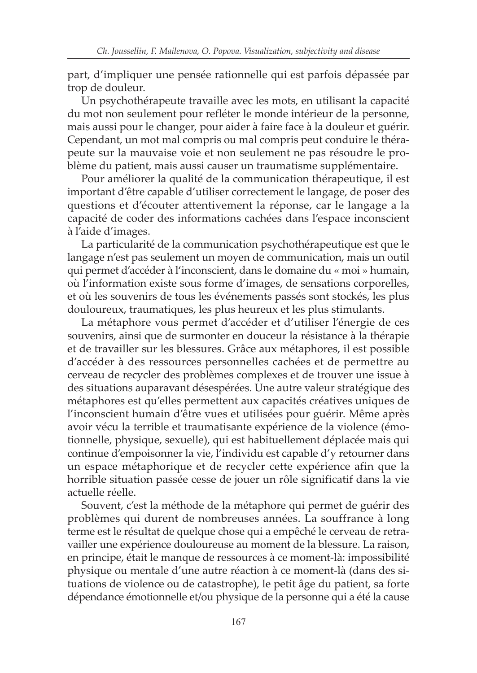part, d'impliquer une pensée rationnelle qui est parfois dépassée par trop de douleur.

Un psychothérapeute travaille avec les mots, en utilisant la capacité du mot non seulement pour refléter le monde intérieur de la personne, mais aussi pour le changer, pour aider à faire face à la douleur et guérir. Cependant, un mot mal compris ou mal compris peut conduire le thérapeute sur la mauvaise voie et non seulement ne pas résoudre le problème du patient, mais aussi causer un traumatisme supplémentaire.

Pour améliorer la qualité de la communication thérapeutique, il est important d'être capable d'utiliser correctement le langage, de poser des questions et d'écouter attentivement la réponse, car le langage a la capacité de coder des informations cachées dans l'espace inconscient à l'aide d'images.

La particularité de la communication psychothérapeutique est que le langage n'est pas seulement un moyen de communication, mais un outil qui permet d'accéder à l'inconscient, dans le domaine du « moi » humain, où l'information existe sous forme d'images, de sensations corporelles, et où les souvenirs de tous les événements passés sont stockés, les plus douloureux, traumatiques, les plus heureux et les plus stimulants.

La métaphore vous permet d'accéder et d'utiliser l'énergie de ces souvenirs, ainsi que de surmonter en douceur la résistance à la thérapie et de travailler sur les blessures. Grâce aux métaphores, il est possible d'accéder à des ressources personnelles cachées et de permettre au cerveau de recycler des problèmes complexes et de trouver une issue à des situations auparavant désespérées. Une autre valeur stratégique des métaphores est qu'elles permettent aux capacités créatives uniques de l'inconscient humain d'être vues et utilisées pour guérir. Même après avoir vécu la terrible et traumatisante expérience de la violence (émotionnelle, physique, sexuelle), qui est habituellement déplacée mais qui continue d'empoisonner la vie, l'individu est capable d'y retourner dans un espace métaphorique et de recycler cette expérience afin que la horrible situation passée cesse de jouer un rôle significatif dans la vie actuelle réelle.

Souvent, c'est la méthode de la métaphore qui permet de guérir des problèmes qui durent de nombreuses années. La souffrance à long terme est le résultat de quelque chose qui a empêché le cerveau de retravailler une expérience douloureuse au moment de la blessure. La raison, en principe, était le manque de ressources à ce moment-là: impossibilité physique ou mentale d'une autre réaction à ce moment-là (dans des situations de violence ou de catastrophe), le petit âge du patient, sa forte dépendance émotionnelle et/ou physique de la personne qui a été la cause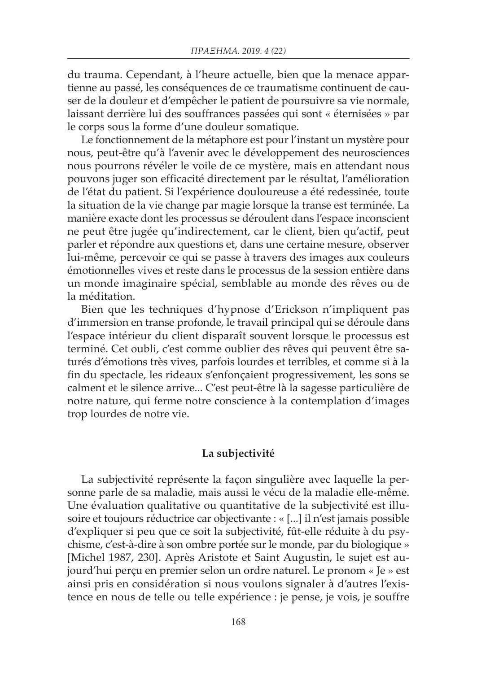du trauma. Cependant, à l'heure actuelle, bien que la menace appartienne au passé, les conséquences de ce traumatisme continuent de causer de la douleur et d'empêcher le patient de poursuivre sa vie normale, laissant derrière lui des souffrances passées qui sont « éternisées » par le corps sous la forme d'une douleur somatique.

Le fonctionnement de la métaphore est pour l'instant un mystère pour nous, peut-être qu'à l'avenir avec le développement des neurosciences nous pourrons révéler le voile de ce mystère, mais en attendant nous pouvons juger son efficacité directement par le résultat, l'amélioration de l'état du patient. Si l'expérience douloureuse a été redessinée, toute la situation de la vie change par magie lorsque la transe est terminée. La manière exacte dont les processus se déroulent dans l'espace inconscient ne peut être jugée qu'indirectement, car le client, bien qu'actif, peut parler et répondre aux questions et, dans une certaine mesure, observer lui-même, percevoir ce qui se passe à travers des images aux couleurs émotionnelles vives et reste dans le processus de la session entière dans un monde imaginaire spécial, semblable au monde des rêves ou de la méditation.

Bien que les techniques d'hypnose d'Erickson n'impliquent pas d'immersion en transe profonde, le travail principal qui se déroule dans l'espace intérieur du client disparaît souvent lorsque le processus est terminé. Cet oubli, c'est comme oublier des rêves qui peuvent être saturés d'émotions très vives, parfois lourdes et terribles, et comme si à la fin du spectacle, les rideaux s'enfonçaient progressivement, les sons se calment et le silence arrive... C'est peut-être là la sagesse particulière de notre nature, qui ferme notre conscience à la contemplation d'images trop lourdes de notre vie.

### **La subjectivité**

La subjectivité représente la façon singulière avec laquelle la personne parle de sa maladie, mais aussi le vécu de la maladie elle-même. Une évaluation qualitative ou quantitative de la subjectivité est illusoire et toujours réductrice car objectivante : « [...] il n'est jamais possible d'expliquer si peu que ce soit la subjectivité, fût-elle réduite à du psychisme, c'est-à-dire à son ombre portée sur le monde, par du biologique » [Michel 1987, 230]. Après Aristote et Saint Augustin, le sujet est aujourd'hui perçu en premier selon un ordre naturel. Le pronom « Je » est ainsi pris en considération si nous voulons signaler à d'autres l'existence en nous de telle ou telle expérience : je pense, je vois, je souffre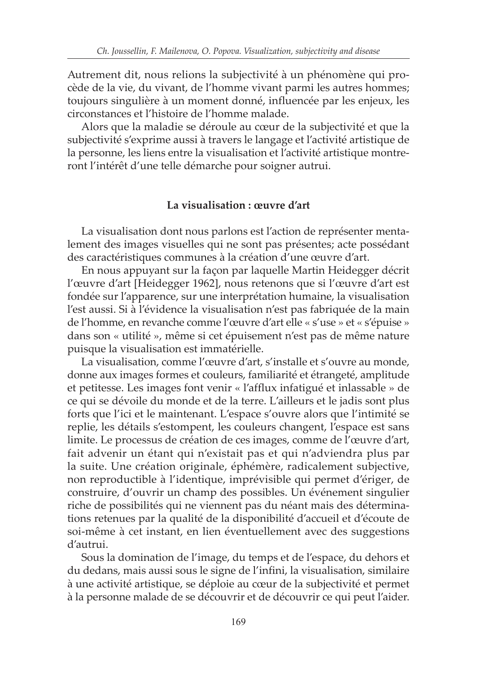Autrement dit, nous relions la subjectivité à un phénomène qui procède de la vie, du vivant, de l'homme vivant parmi les autres hommes; toujours singulière à un moment donné, influencée par les enjeux, les circonstances et l'histoire de l'homme malade.

Alors que la maladie se déroule au cœur de la subjectivité et que la subjectivité s'exprime aussi à travers le langage et l'activité artistique de la personne, les liens entre la visualisation et l'activité artistique montreront l'intérêt d'une telle démarche pour soigner autrui.

# **La visualisation : œuvre d'art**

La visualisation dont nous parlons est l'action de représenter mentalement des images visuelles qui ne sont pas présentes; acte possédant des caractéristiques communes à la création d'une œuvre d'art.

En nous appuyant sur la façon par laquelle Martin Heidegger décrit l'œuvre d'art [Heidegger 1962], nous retenons que si l'œuvre d'art est fondée sur l'apparence, sur une interprétation humaine, la visualisation l'est aussi. Si à l'évidence la visualisation n'est pas fabriquée de la main de l'homme, en revanche comme l'œuvre d'art elle « s'use » et « s'épuise » dans son « utilité », même si cet épuisement n'est pas de même nature puisque la visualisation est immatérielle.

La visualisation, comme l'œuvre d'art, s'installe et s'ouvre au monde, donne aux images formes et couleurs, familiarité et étrangeté, amplitude et petitesse. Les images font venir « l'afflux infatigué et inlassable » de ce qui se dévoile du monde et de la terre. L'ailleurs et le jadis sont plus forts que l'ici et le maintenant. L'espace s'ouvre alors que l'intimité se replie, les détails s'estompent, les couleurs changent, l'espace est sans limite. Le processus de création de ces images, comme de l'œuvre d'art, fait advenir un étant qui n'existait pas et qui n'adviendra plus par la suite. Une création originale, éphémère, radicalement subjective, non reproductible à l'identique, imprévisible qui permet d'ériger, de construire, d'ouvrir un champ des possibles. Un événement singulier riche de possibilités qui ne viennent pas du néant mais des déterminations retenues par la qualité de la disponibilité d'accueil et d'écoute de soi-même à cet instant, en lien éventuellement avec des suggestions d'autrui.

Sous la domination de l'image, du temps et de l'espace, du dehors et du dedans, mais aussi sous le signe de l'infini, la visualisation, similaire à une activité artistique, se déploie au cœur de la subjectivité et permet à la personne malade de se découvrir et de découvrir ce qui peut l'aider.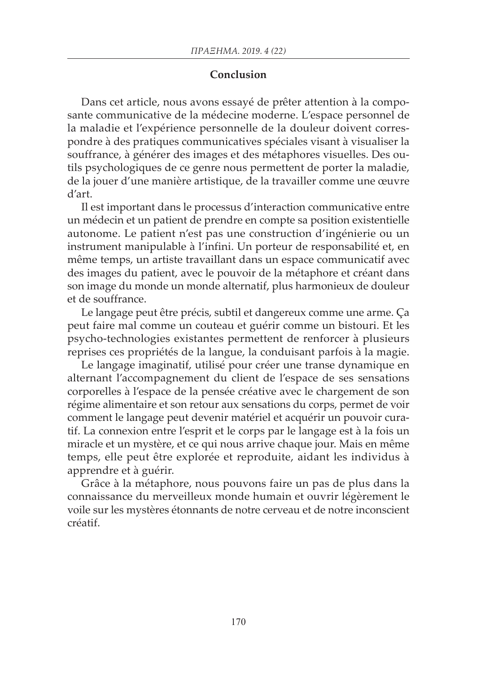# **Conclusion**

Dans cet article, nous avons essayé de prêter attention à la composante communicative de la médecine moderne. L'espace personnel de la maladie et l'expérience personnelle de la douleur doivent correspondre à des pratiques communicatives spéciales visant à visualiser la souffrance, à générer des images et des métaphores visuelles. Des outils psychologiques de ce genre nous permettent de porter la maladie, de la jouer d'une manière artistique, de la travailler comme une œuvre d'art.

Il est important dans le processus d'interaction communicative entre un médecin et un patient de prendre en compte sa position existentielle autonome. Le patient n'est pas une construction d'ingénierie ou un instrument manipulable à l'infini. Un porteur de responsabilité et, en même temps, un artiste travaillant dans un espace communicatif avec des images du patient, avec le pouvoir de la métaphore et créant dans son image du monde un monde alternatif, plus harmonieux de douleur et de souffrance.

Le langage peut être précis, subtil et dangereux comme une arme. Ça peut faire mal comme un couteau et guérir comme un bistouri. Et les psycho-technologies existantes permettent de renforcer à plusieurs reprises ces propriétés de la langue, la conduisant parfois à la magie.

Le langage imaginatif, utilisé pour créer une transe dynamique en alternant l'accompagnement du client de l'espace de ses sensations corporelles à l'espace de la pensée créative avec le chargement de son régime alimentaire et son retour aux sensations du corps, permet de voir comment le langage peut devenir matériel et acquérir un pouvoir curatif. La connexion entre l'esprit et le corps par le langage est à la fois un miracle et un mystère, et ce qui nous arrive chaque jour. Mais en même temps, elle peut être explorée et reproduite, aidant les individus à apprendre et à guérir.

Grâce à la métaphore, nous pouvons faire un pas de plus dans la connaissance du merveilleux monde humain et ouvrir légèrement le voile sur les mystères étonnants de notre cerveau et de notre inconscient créatif.